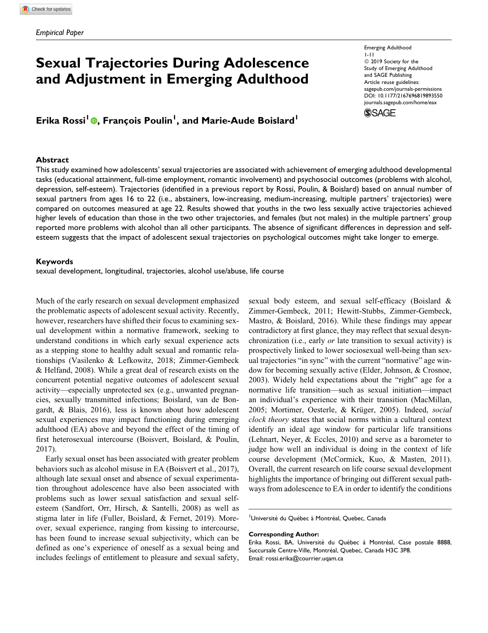# Sexual Trajectories During Adolescence and Adjustment in Emerging Adulthood

Erika Rossi<sup>l</sup> ®, François Poulin<sup>1</sup>, and Marie-Aude Boislard<sup>1</sup>

#### **Abstract**

This study examined how adolescents' sexual trajectories are associated with achievement of emerging adulthood developmental tasks (educational attainment, full-time employment, romantic involvement) and psychosocial outcomes (problems with alcohol, depression, self-esteem). Trajectories (identified in a previous report by Rossi, Poulin, & Boislard) based on annual number of sexual partners from ages 16 to 22 (i.e., abstainers, low-increasing, medium-increasing, multiple partners' trajectories) were compared on outcomes measured at age 22. Results showed that youths in the two less sexually active trajectories achieved higher levels of education than those in the two other trajectories, and females (but not males) in the multiple partners' group reported more problems with alcohol than all other participants. The absence of significant differences in depression and selfesteem suggests that the impact of adolescent sexual trajectories on psychological outcomes might take longer to emerge.

### Keywords

sexual development, longitudinal, trajectories, alcohol use/abuse, life course

Much of the early research on sexual development emphasized the problematic aspects of adolescent sexual activity. Recently, however, researchers have shifted their focus to examining sexual development within a normative framework, seeking to understand conditions in which early sexual experience acts as a stepping stone to healthy adult sexual and romantic relationships (Vasilenko & Lefkowitz, 2018; Zimmer-Gembeck & Helfand, 2008). While a great deal of research exists on the concurrent potential negative outcomes of adolescent sexual activity—especially unprotected sex (e.g., unwanted pregnancies, sexually transmitted infections; Boislard, van de Bongardt, & Blais, 2016), less is known about how adolescent sexual experiences may impact functioning during emerging adulthood (EA) above and beyond the effect of the timing of first heterosexual intercourse (Boisvert, Boislard, & Poulin, 2017).

Early sexual onset has been associated with greater problem behaviors such as alcohol misuse in EA (Boisvert et al., 2017), although late sexual onset and absence of sexual experimentation throughout adolescence have also been associated with problems such as lower sexual satisfaction and sexual selfesteem (Sandfort, Orr, Hirsch, & Santelli, 2008) as well as stigma later in life (Fuller, Boislard, & Fernet, 2019). Moreover, sexual experience, ranging from kissing to intercourse, has been found to increase sexual subjectivity, which can be defined as one's experience of oneself as a sexual being and includes feelings of entitlement to pleasure and sexual safety,

sexual body esteem, and sexual self-efficacy (Boislard & Zimmer-Gembeck, 2011; Hewitt-Stubbs, Zimmer-Gembeck, Mastro, & Boislard, 2016). While these findings may appear contradictory at first glance, they may reflect that sexual desynchronization (i.e., early or late transition to sexual activity) is prospectively linked to lower sociosexual well-being than sexual trajectories "in sync" with the current "normative" age window for becoming sexually active (Elder, Johnson, & Crosnoe, 2003). Widely held expectations about the "right" age for a normative life transition—such as sexual initiation—impact an individual's experience with their transition (MacMillan, 2005; Mortimer, Oesterle, & Krüger, 2005). Indeed, social clock theory states that social norms within a cultural context identify an ideal age window for particular life transitions (Lehnart, Neyer, & Eccles, 2010) and serve as a barometer to judge how well an individual is doing in the context of life course development (McCormick, Kuo, & Masten, 2011). Overall, the current research on life course sexual development highlights the importance of bringing out different sexual pathways from adolescence to EA in order to identify the conditions

<sup>1</sup>Université du Québec à Montréal, Quebec, Canada

#### Corresponding Author:

Emerging Adulthood 1-11  $@$  2019 Society for the Study of Emerging Adulthood and SAGE Publishing Article reuse guidelines: [sagepub.com/journals-permissions](https://sagepub.com/journals-permissions) [DOI: 10.1177/2167696819893550](https://doi.org/10.1177/2167696819893550) [journals.sagepub.com/home/eax](http://journals.sagepub.com/home/eax)



Erika Rossi, BA, Université du Québec à Montréal, Case postale 8888, Succursale Centre-Ville, Montréal, Quebec, Canada H3C 3P8. Email: [rossi.erika@courrier.uqam.ca](mailto:rossi.erika@courrier.uqam.ca)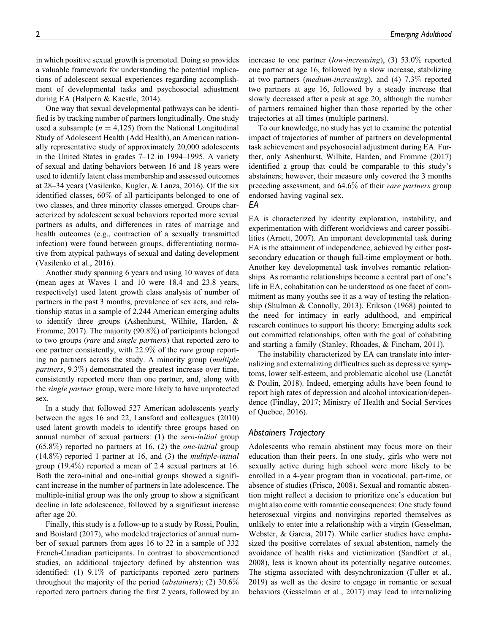in which positive sexual growth is promoted. Doing so provides a valuable framework for understanding the potential implications of adolescent sexual experiences regarding accomplishment of developmental tasks and psychosocial adjustment during EA (Halpern & Kaestle, 2014).

One way that sexual developmental pathways can be identified is by tracking number of partners longitudinally. One study used a subsample ( $n = 4,125$ ) from the National Longitudinal Study of Adolescent Health (Add Health), an American nationally representative study of approximately 20,000 adolescents in the United States in grades 7–12 in 1994–1995. A variety of sexual and dating behaviors between 16 and 18 years were used to identify latent class membership and assessed outcomes at 28–34 years (Vasilenko, Kugler, & Lanza, 2016). Of the six identified classes, 60% of all participants belonged to one of two classes, and three minority classes emerged. Groups characterized by adolescent sexual behaviors reported more sexual partners as adults, and differences in rates of marriage and health outcomes (e.g., contraction of a sexually transmitted infection) were found between groups, differentiating normative from atypical pathways of sexual and dating development (Vasilenko et al., 2016).

Another study spanning 6 years and using 10 waves of data (mean ages at Waves 1 and 10 were 18.4 and 23.8 years, respectively) used latent growth class analysis of number of partners in the past 3 months, prevalence of sex acts, and relationship status in a sample of 2,244 American emerging adults to identify three groups (Ashenhurst, Wilhite, Harden, & Fromme, 2017). The majority (90.8%) of participants belonged to two groups (rare and single partners) that reported zero to one partner consistently, with 22.9% of the rare group reporting no partners across the study. A minority group (multiple partners, 9.3%) demonstrated the greatest increase over time, consistently reported more than one partner, and, along with the single partner group, were more likely to have unprotected sex.

In a study that followed 527 American adolescents yearly between the ages 16 and 22, Lansford and colleagues (2010) used latent growth models to identify three groups based on annual number of sexual partners: (1) the *zero-initial* group  $(65.8\%)$  reported no partners at 16, (2) the *one-initial* group  $(14.8\%)$  reported 1 partner at 16, and (3) the *multiple-initial* group (19.4%) reported a mean of 2.4 sexual partners at 16. Both the zero-initial and one-initial groups showed a significant increase in the number of partners in late adolescence. The multiple-initial group was the only group to show a significant decline in late adolescence, followed by a significant increase after age 20.

Finally, this study is a follow-up to a study by Rossi, Poulin, and Boislard (2017), who modeled trajectories of annual number of sexual partners from ages 16 to 22 in a sample of 332 French-Canadian participants. In contrast to abovementioned studies, an additional trajectory defined by abstention was identified: (1) 9.1% of participants reported zero partners throughout the majority of the period *(abstainers)*; (2)  $30.6\%$ reported zero partners during the first 2 years, followed by an

increase to one partner (low-increasing), (3) 53.0% reported one partner at age 16, followed by a slow increase, stabilizing at two partners (medium-increasing), and (4) 7.3% reported two partners at age 16, followed by a steady increase that slowly decreased after a peak at age 20, although the number of partners remained higher than those reported by the other trajectories at all times (multiple partners).

To our knowledge, no study has yet to examine the potential impact of trajectories of number of partners on developmental task achievement and psychosocial adjustment during EA. Further, only Ashenhurst, Wilhite, Harden, and Fromme (2017) identified a group that could be comparable to this study's abstainers; however, their measure only covered the 3 months preceding assessment, and 64.6% of their *rare partners* group endorsed having vaginal sex.

#### EA

EA is characterized by identity exploration, instability, and experimentation with different worldviews and career possibilities (Arnett, 2007). An important developmental task during EA is the attainment of independence, achieved by either postsecondary education or though full-time employment or both. Another key developmental task involves romantic relationships. As romantic relationships become a central part of one's life in EA, cohabitation can be understood as one facet of commitment as many youths see it as a way of testing the relationship (Shulman & Connolly, 2013). Erikson (1968) pointed to the need for intimacy in early adulthood, and empirical research continues to support his theory: Emerging adults seek out committed relationships, often with the goal of cohabiting and starting a family (Stanley, Rhoades, & Fincham, 2011).

The instability characterized by EA can translate into internalizing and externalizing difficulties such as depressive symptoms, lower self-esteem, and problematic alcohol use (Lanctôt & Poulin, 2018). Indeed, emerging adults have been found to report high rates of depression and alcohol intoxication/dependence (Findlay, 2017; Ministry of Health and Social Services of Quebec, 2016).

## Abstainers Trajectory

Adolescents who remain abstinent may focus more on their education than their peers. In one study, girls who were not sexually active during high school were more likely to be enrolled in a 4-year program than in vocational, part-time, or absence of studies (Frisco, 2008). Sexual and romantic abstention might reflect a decision to prioritize one's education but might also come with romantic consequences: One study found heterosexual virgins and nonvirgins reported themselves as unlikely to enter into a relationship with a virgin (Gesselman, Webster, & Garcia, 2017). While earlier studies have emphasized the positive correlates of sexual abstention, namely the avoidance of health risks and victimization (Sandfort et al., 2008), less is known about its potentially negative outcomes. The stigma associated with desynchronization (Fuller et al., 2019) as well as the desire to engage in romantic or sexual behaviors (Gesselman et al., 2017) may lead to internalizing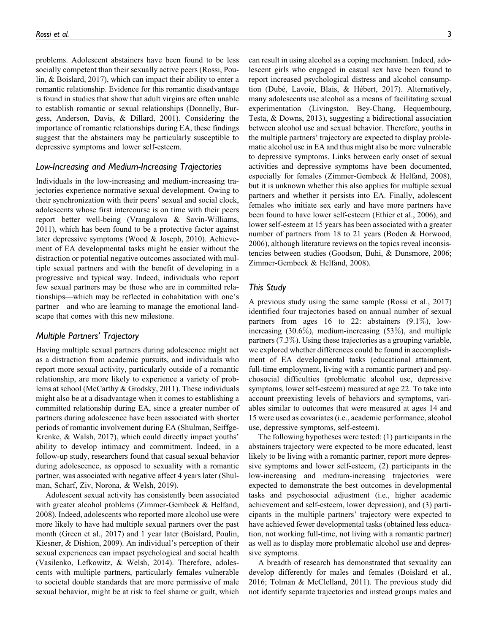problems. Adolescent abstainers have been found to be less socially competent than their sexually active peers (Rossi, Poulin, & Boislard, 2017), which can impact their ability to enter a romantic relationship. Evidence for this romantic disadvantage is found in studies that show that adult virgins are often unable to establish romantic or sexual relationships (Donnelly, Burgess, Anderson, Davis, & Dillard, 2001). Considering the importance of romantic relationships during EA, these findings suggest that the abstainers may be particularly susceptible to depressive symptoms and lower self-esteem.

# Low-Increasing and Medium-Increasing Trajectories

Individuals in the low-increasing and medium-increasing trajectories experience normative sexual development. Owing to their synchronization with their peers' sexual and social clock, adolescents whose first intercourse is on time with their peers report better well-being (Vrangalova & Savin-Williams, 2011), which has been found to be a protective factor against later depressive symptoms (Wood & Joseph, 2010). Achievement of EA developmental tasks might be easier without the distraction or potential negative outcomes associated with multiple sexual partners and with the benefit of developing in a progressive and typical way. Indeed, individuals who report few sexual partners may be those who are in committed relationships—which may be reflected in cohabitation with one's partner—and who are learning to manage the emotional landscape that comes with this new milestone.

## Multiple Partners' Trajectory

Having multiple sexual partners during adolescence might act as a distraction from academic pursuits, and individuals who report more sexual activity, particularly outside of a romantic relationship, are more likely to experience a variety of problems at school (McCarthy & Grodsky, 2011). These individuals might also be at a disadvantage when it comes to establishing a committed relationship during EA, since a greater number of partners during adolescence have been associated with shorter periods of romantic involvement during EA (Shulman, Seiffge-Krenke, & Walsh, 2017), which could directly impact youths' ability to develop intimacy and commitment. Indeed, in a follow-up study, researchers found that casual sexual behavior during adolescence, as opposed to sexuality with a romantic partner, was associated with negative affect 4 years later (Shulman, Scharf, Ziv, Norona, & Welsh, 2019).

Adolescent sexual activity has consistently been associated with greater alcohol problems (Zimmer-Gembeck & Helfand, 2008). Indeed, adolescents who reported more alcohol use were more likely to have had multiple sexual partners over the past month (Green et al., 2017) and 1 year later (Boislard, Poulin, Kiesner, & Dishion, 2009). An individual's perception of their sexual experiences can impact psychological and social health (Vasilenko, Lefkowitz, & Welsh, 2014). Therefore, adolescents with multiple partners, particularly females vulnerable to societal double standards that are more permissive of male sexual behavior, might be at risk to feel shame or guilt, which

can result in using alcohol as a coping mechanism. Indeed, adolescent girls who engaged in casual sex have been found to report increased psychological distress and alcohol consumption (Dubé, Lavoie, Blais, & Hébert, 2017). Alternatively, many adolescents use alcohol as a means of facilitating sexual experimentation (Livingston, Bey-Chang, Hequembourg, Testa, & Downs, 2013), suggesting a bidirectional association between alcohol use and sexual behavior. Therefore, youths in the multiple partners' trajectory are expected to display problematic alcohol use in EA and thus might also be more vulnerable to depressive symptoms. Links between early onset of sexual activities and depressive symptoms have been documented, especially for females (Zimmer-Gembeck & Helfand, 2008), but it is unknown whether this also applies for multiple sexual partners and whether it persists into EA. Finally, adolescent females who initiate sex early and have more partners have been found to have lower self-esteem (Ethier et al., 2006), and lower self-esteem at 15 years has been associated with a greater number of partners from 18 to 21 years (Boden & Horwood, 2006), although literature reviews on the topics reveal inconsistencies between studies (Goodson, Buhi, & Dunsmore, 2006; Zimmer-Gembeck & Helfand, 2008).

# This Study

A previous study using the same sample (Rossi et al., 2017) identified four trajectories based on annual number of sexual partners from ages 16 to 22: abstainers (9.1%), lowincreasing  $(30.6\%)$ , medium-increasing  $(53\%)$ , and multiple partners (7.3%). Using these trajectories as a grouping variable, we explored whether differences could be found in accomplishment of EA developmental tasks (educational attainment, full-time employment, living with a romantic partner) and psychosocial difficulties (problematic alcohol use, depressive symptoms, lower self-esteem) measured at age 22. To take into account preexisting levels of behaviors and symptoms, variables similar to outcomes that were measured at ages 14 and 15 were used as covariates (i.e., academic performance, alcohol use, depressive symptoms, self-esteem).

The following hypotheses were tested: (1) participants in the abstainers trajectory were expected to be more educated, least likely to be living with a romantic partner, report more depressive symptoms and lower self-esteem, (2) participants in the low-increasing and medium-increasing trajectories were expected to demonstrate the best outcomes in developmental tasks and psychosocial adjustment (i.e., higher academic achievement and self-esteem, lower depression), and (3) participants in the multiple partners' trajectory were expected to have achieved fewer developmental tasks (obtained less education, not working full-time, not living with a romantic partner) as well as to display more problematic alcohol use and depressive symptoms.

A breadth of research has demonstrated that sexuality can develop differently for males and females (Boislard et al., 2016; Tolman & McClelland, 2011). The previous study did not identify separate trajectories and instead groups males and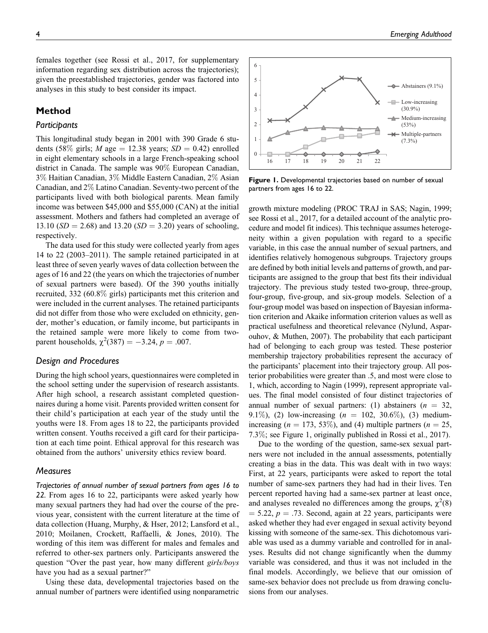females together (see Rossi et al., 2017, for supplementary information regarding sex distribution across the trajectories); given the preestablished trajectories, gender was factored into analyses in this study to best consider its impact.

# Method

# **Participants**

This longitudinal study began in 2001 with 390 Grade 6 students (58% girls; *M* age = 12.38 years;  $SD = 0.42$ ) enrolled in eight elementary schools in a large French-speaking school district in Canada. The sample was 90% European Canadian, 3% Haitian Canadian, 3% Middle Eastern Canadian, 2% Asian Canadian, and 2% Latino Canadian. Seventy-two percent of the participants lived with both biological parents. Mean family income was between \$45,000 and \$55,000 (CAN) at the initial assessment. Mothers and fathers had completed an average of 13.10 ( $SD = 2.68$ ) and 13.20 ( $SD = 3.20$ ) years of schooling, respectively.

The data used for this study were collected yearly from ages 14 to 22 (2003–2011). The sample retained participated in at least three of seven yearly waves of data collection between the ages of 16 and 22 (the years on which the trajectories of number of sexual partners were based). Of the 390 youths initially recruited, 332 (60.8% girls) participants met this criterion and were included in the current analyses. The retained participants did not differ from those who were excluded on ethnicity, gender, mother's education, or family income, but participants in the retained sample were more likely to come from twoparent households,  $\chi^2(387) = -3.24$ ,  $p = .007$ .

# Design and Procedures

During the high school years, questionnaires were completed in the school setting under the supervision of research assistants. After high school, a research assistant completed questionnaires during a home visit. Parents provided written consent for their child's participation at each year of the study until the youths were 18. From ages 18 to 22, the participants provided written consent. Youths received a gift card for their participation at each time point. Ethical approval for this research was obtained from the authors' university ethics review board.

### **Measures**

Trajectories of annual number of sexual partners from ages 16 to 22. From ages 16 to 22, participants were asked yearly how many sexual partners they had had over the course of the previous year, consistent with the current literature at the time of data collection (Huang, Murphy, & Hser, 2012; Lansford et al., 2010; Moilanen, Crockett, Raffaelli, & Jones, 2010). The wording of this item was different for males and females and referred to other-sex partners only. Participants answered the question "Over the past year, how many different girls/boys have you had as a sexual partner?"

Using these data, developmental trajectories based on the annual number of partners were identified using nonparametric



Figure 1. Developmental trajectories based on number of sexual partners from ages 16 to 22.

growth mixture modeling (PROC TRAJ in SAS; Nagin, 1999; see Rossi et al., 2017, for a detailed account of the analytic procedure and model fit indices). This technique assumes heterogeneity within a given population with regard to a specific variable, in this case the annual number of sexual partners, and identifies relatively homogenous subgroups. Trajectory groups are defined by both initial levels and patterns of growth, and participants are assigned to the group that best fits their individual trajectory. The previous study tested two-group, three-group, four-group, five-group, and six-group models. Selection of a four-group model was based on inspection of Bayesian information criterion and Akaike information criterion values as well as practical usefulness and theoretical relevance (Nylund, Asparouhov, & Muthen, 2007). The probability that each participant had of belonging to each group was tested. These posterior membership trajectory probabilities represent the accuracy of the participants' placement into their trajectory group. All posterior probabilities were greater than .5, and most were close to 1, which, according to Nagin (1999), represent appropriate values. The final model consisted of four distinct trajectories of annual number of sexual partners: (1) abstainers ( $n = 32$ , 9.1%), (2) low-increasing  $(n = 102, 30.6\%)$ , (3) mediumincreasing ( $n = 173, 53\%$ ), and (4) multiple partners ( $n = 25$ , 7.3%; see Figure 1, originally published in Rossi et al., 2017).

Due to the wording of the question, same-sex sexual partners were not included in the annual assessments, potentially creating a bias in the data. This was dealt with in two ways: First, at 22 years, participants were asked to report the total number of same-sex partners they had had in their lives. Ten percent reported having had a same-sex partner at least once, and analyses revealed no differences among the groups,  $\chi^2(8)$  $= 5.22, p = .73$ . Second, again at 22 years, participants were asked whether they had ever engaged in sexual activity beyond kissing with someone of the same-sex. This dichotomous variable was used as a dummy variable and controlled for in analyses. Results did not change significantly when the dummy variable was considered, and thus it was not included in the final models. Accordingly, we believe that our omission of same-sex behavior does not preclude us from drawing conclusions from our analyses.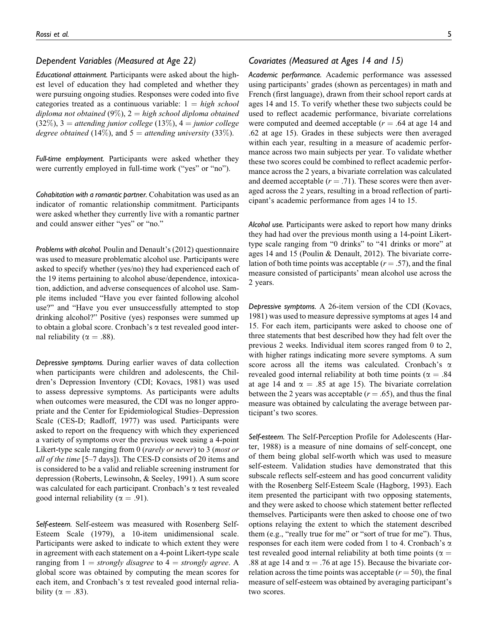## Dependent Variables (Measured at Age 22)

Educational attainment. Participants were asked about the highest level of education they had completed and whether they were pursuing ongoing studies. Responses were coded into five categories treated as a continuous variable:  $1 = high school$ diploma not obtained (9%),  $2 =$  high school diploma obtained  $(32\%), 3 =$  attending junior college  $(13\%), 4 =$  junior college degree obtained (14%), and  $5 =$  attending university (33%).

Full-time employment. Participants were asked whether they were currently employed in full-time work ("yes" or "no").

Cohabitation with a romantic partner. Cohabitation was used as an indicator of romantic relationship commitment. Participants were asked whether they currently live with a romantic partner and could answer either "yes" or "no."

Problems with alcohol. Poulin and Denault's (2012) questionnaire was used to measure problematic alcohol use. Participants were asked to specify whether (yes/no) they had experienced each of the 19 items pertaining to alcohol abuse/dependence, intoxication, addiction, and adverse consequences of alcohol use. Sample items included "Have you ever fainted following alcohol use?" and "Have you ever unsuccessfully attempted to stop drinking alcohol?" Positive (yes) responses were summed up to obtain a global score. Cronbach's  $\alpha$  test revealed good internal reliability ( $\alpha = .88$ ).

Depressive symptoms. During earlier waves of data collection when participants were children and adolescents, the Children's Depression Inventory (CDI; Kovacs, 1981) was used to assess depressive symptoms. As participants were adults when outcomes were measured, the CDI was no longer appropriate and the Center for Epidemiological Studies–Depression Scale (CES-D; Radloff, 1977) was used. Participants were asked to report on the frequency with which they experienced a variety of symptoms over the previous week using a 4-point Likert-type scale ranging from 0 (rarely or never) to 3 (most or all of the time [5–7 days]). The CES-D consists of 20 items and is considered to be a valid and reliable screening instrument for depression (Roberts, Lewinsohn, & Seeley, 1991). A sum score was calculated for each participant. Cronbach's  $\alpha$  test revealed good internal reliability ( $\alpha = .91$ ).

Self-esteem. Self-esteem was measured with Rosenberg Self-Esteem Scale (1979), a 10-item unidimensional scale. Participants were asked to indicate to which extent they were in agreement with each statement on a 4-point Likert-type scale ranging from  $1 =$  strongly disagree to  $4 =$  strongly agree. A global score was obtained by computing the mean scores for each item, and Cronbach's  $\alpha$  test revealed good internal reliability ( $\alpha = .83$ ).

# Covariates (Measured at Ages 14 and 15)

Academic performance. Academic performance was assessed using participants' grades (shown as percentages) in math and French (first language), drawn from their school report cards at ages 14 and 15. To verify whether these two subjects could be used to reflect academic performance, bivariate correlations were computed and deemed acceptable  $(r = .64$  at age 14 and .62 at age 15). Grades in these subjects were then averaged within each year, resulting in a measure of academic performance across two main subjects per year. To validate whether these two scores could be combined to reflect academic performance across the 2 years, a bivariate correlation was calculated and deemed acceptable  $(r = .71)$ . These scores were then averaged across the 2 years, resulting in a broad reflection of participant's academic performance from ages 14 to 15.

Alcohol use. Participants were asked to report how many drinks they had had over the previous month using a 14-point Likerttype scale ranging from "0 drinks" to "41 drinks or more" at ages 14 and 15 (Poulin & Denault, 2012). The bivariate correlation of both time points was acceptable ( $r = .57$ ), and the final measure consisted of participants' mean alcohol use across the 2 years.

Depressive symptoms. A 26-item version of the CDI (Kovacs, 1981) was used to measure depressive symptoms at ages 14 and 15. For each item, participants were asked to choose one of three statements that best described how they had felt over the previous 2 weeks. Individual item scores ranged from 0 to 2, with higher ratings indicating more severe symptoms. A sum score across all the items was calculated. Cronbach's  $\alpha$ revealed good internal reliability at both time points ( $\alpha = .84$ ) at age 14 and  $\alpha = .85$  at age 15). The bivariate correlation between the 2 years was acceptable ( $r = .65$ ), and thus the final measure was obtained by calculating the average between participant's two scores.

Self-esteem. The Self-Perception Profile for Adolescents (Harter, 1988) is a measure of nine domains of self-concept, one of them being global self-worth which was used to measure self-esteem. Validation studies have demonstrated that this subscale reflects self-esteem and has good concurrent validity with the Rosenberg Self-Esteem Scale (Hagborg, 1993). Each item presented the participant with two opposing statements, and they were asked to choose which statement better reflected themselves. Participants were then asked to choose one of two options relaying the extent to which the statement described them (e.g., "really true for me" or "sort of true for me"). Thus, responses for each item were coded from 1 to 4. Cronbach's  $\alpha$ test revealed good internal reliability at both time points ( $\alpha =$ .88 at age 14 and  $\alpha = .76$  at age 15). Because the bivariate correlation across the time points was acceptable  $(r = 50)$ , the final measure of self-esteem was obtained by averaging participant's two scores.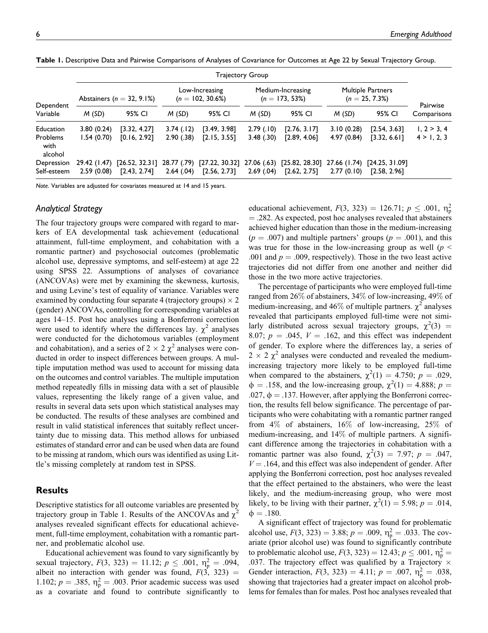| Dependent<br>Variable       | <b>Trajectory Group</b>        |                |                                       |                |                                        |                |                                               |                |             |
|-----------------------------|--------------------------------|----------------|---------------------------------------|----------------|----------------------------------------|----------------|-----------------------------------------------|----------------|-------------|
|                             | Abstainers ( $n = 32, 9.1\%$ ) |                | Low-Increasing<br>$(n = 102, 30.6\%)$ |                | Medium-Increasing<br>$(n = 173, 53\%)$ |                | <b>Multiple Partners</b><br>$(n = 25, 7.3\%)$ |                | Pairwise    |
|                             | M(SD)                          | 95% CI         | M(SD)                                 | 95% CI         | M(SD)                                  | 95% CI         | M(SD)                                         | 95% CI         | Comparisons |
| Education                   | 3.80(0.24)                     | [3.32, 4.27]   | 3.74(.12)                             | [3.49, 3.98]   | 2.79(.10)                              | [2.76, 3.17]   | 3.10(0.28)                                    | [2.54, 3.63]   | 1, 2 > 3, 4 |
| Problems<br>with<br>alcohol | 1.54(0.70)                     | [0.16, 2.92]   | 2.90(.38)                             | [2.15, 3.55]   | 3.48(.30)                              | [2.89, 4.06]   | 4.97(0.84)                                    | [3.32, 6.6]    | 4 > 1, 2, 3 |
| Depression                  | 29.42 (1.47)                   | [26.52, 32.31] | 28.77 (.79)                           | [27.22, 30.32] | 27.06 (.63)                            | [25.82, 28.30] | 27.66 (1.74)                                  | [24.25, 31.09] |             |
| Self-esteem                 | 2.59(0.08)                     | [2.43, 2.74]   | 2.64(.04)                             | [2.56, 2.73]   | 2.69(0.04)                             | [2.62, 2.75]   | 2.77(0.10)                                    | [2.58, 2.96]   |             |

Table 1. Descriptive Data and Pairwise Comparisons of Analyses of Covariance for Outcomes at Age 22 by Sexual Trajectory Group.

Note. Variables are adjusted for covariates measured at 14 and 15 years.

# Analytical Strategy

The four trajectory groups were compared with regard to markers of EA developmental task achievement (educational attainment, full-time employment, and cohabitation with a romantic partner) and psychosocial outcomes (problematic alcohol use, depressive symptoms, and self-esteem) at age 22 using SPSS 22. Assumptions of analyses of covariance (ANCOVAs) were met by examining the skewness, kurtosis, and using Levine's test of equality of variance. Variables were examined by conducting four separate 4 (trajectory groups)  $\times$  2 (gender) ANCOVAs, controlling for corresponding variables at ages 14–15. Post hoc analyses using a Bonferroni correction were used to identify where the differences lay.  $\chi^2$  analyses were conducted for the dichotomous variables (employment and cohabitation), and a series of  $2 \times 2 \chi^2$  analyses were conducted in order to inspect differences between groups. A multiple imputation method was used to account for missing data on the outcomes and control variables. The multiple imputation method repeatedly fills in missing data with a set of plausible values, representing the likely range of a given value, and results in several data sets upon which statistical analyses may be conducted. The results of these analyses are combined and result in valid statistical inferences that suitably reflect uncertainty due to missing data. This method allows for unbiased estimates of standard error and can be used when data are found to be missing at random, which ours was identified as using Little's missing completely at random test in SPSS.

# Results

Descriptive statistics for all outcome variables are presented by trajectory group in Table 1. Results of the ANCOVAs and  $\chi^2$ analyses revealed significant effects for educational achievement, full-time employment, cohabitation with a romantic partner, and problematic alcohol use.

Educational achievement was found to vary significantly by sexual trajectory,  $F(3, 323) = 11.12$ ;  $p \le .001$ ,  $\eta_p^2 = .094$ , albeit no interaction with gender was found,  $F(3, 323) =$ 1.102;  $p = .385$ ,  $\eta_p^2 = .003$ . Prior academic success was used as a covariate and found to contribute significantly to

educational achievement,  $F(3, 323) = 126.71$ ;  $p \le .001$ ,  $\eta_p^2$  $=$  .282. As expected, post hoc analyses revealed that abstainers achieved higher education than those in the medium-increasing  $(p = .007)$  and multiple partners' groups  $(p = .001)$ , and this was true for those in the low-increasing group as well ( $p \leq$ .001 and  $p = .009$ , respectively). Those in the two least active trajectories did not differ from one another and neither did those in the two more active trajectories.

The percentage of participants who were employed full-time ranged from 26% of abstainers, 34% of low-increasing, 49% of medium-increasing, and 46% of multiple partners.  $\chi^2$  analyses revealed that participants employed full-time were not similarly distributed across sexual trajectory groups,  $\chi^2(3)$  = 8.07;  $p = .045$ ,  $V = .162$ , and this effect was independent of gender. To explore where the differences lay, a series of  $2 \times 2 \chi^2$  analyses were conducted and revealed the mediumincreasing trajectory more likely to be employed full-time when compared to the abstainers,  $\chi^2(1) = 4.750$ ;  $p = .029$ ,  $\phi = .158$ , and the low-increasing group,  $\chi^2(1) = 4.888$ ;  $p =$ .027,  $\phi = .137$ . However, after applying the Bonferroni correction, the results fell below significance. The percentage of participants who were cohabitating with a romantic partner ranged from 4% of abstainers, 16% of low-increasing, 25% of medium-increasing, and 14% of multiple partners. A significant difference among the trajectories in cohabitation with a romantic partner was also found,  $\chi^2(3) = 7.97$ ;  $p = .047$ ,  $V = .164$ , and this effect was also independent of gender. After applying the Bonferroni correction, post hoc analyses revealed that the effect pertained to the abstainers, who were the least likely, and the medium-increasing group, who were most likely, to be living with their partner,  $\chi^2(1) = 5.98; p = .014$ ,  $\phi = .180.$ 

A significant effect of trajectory was found for problematic alcohol use,  $F(3, 323) = 3.88$ ;  $p = .009$ ,  $\eta_p^2 = .033$ . The covariate (prior alcohol use) was found to significantly contribute to problematic alcohol use,  $F(3, 323) = 12.43; p \le .001, \eta_{\rm p}^2 =$ .037. The trajectory effect was qualified by a Trajectory  $\times$ Gender interaction,  $F(3, 323) = 4.11$ ;  $p = .007$ ,  $\eta_p^2 = .038$ , showing that trajectories had a greater impact on alcohol problems for females than for males. Post hoc analyses revealed that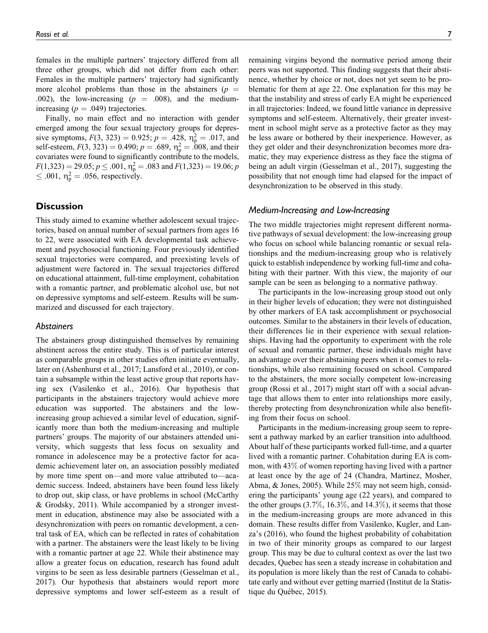females in the multiple partners' trajectory differed from all three other groups, which did not differ from each other: Females in the multiple partners' trajectory had significantly more alcohol problems than those in the abstainers ( $p =$ .002), the low-increasing ( $p = .008$ ), and the mediumincreasing  $(p = .049)$  trajectories.

Finally, no main effect and no interaction with gender emerged among the four sexual trajectory groups for depressive symptoms,  $F(3, 323) = 0.925$ ;  $p = .428$ ,  $\eta_p^2 = .017$ , and self-esteem,  $F(3, 323) = 0.490$ ;  $p = .689$ ,  $\eta_p^2 = .008$ , and their covariates were found to significantly contribute to the models,  $F(1,323) = 29.05; p \leq .001, \eta_p^2 = .083$  and  $F(1,323) = 19.06; p$  $\leq$  .001,  $\eta_{\rm p}^2 =$  .056, respectively.

# **Discussion**

This study aimed to examine whether adolescent sexual trajectories, based on annual number of sexual partners from ages 16 to 22, were associated with EA developmental task achievement and psychosocial functioning. Four previously identified sexual trajectories were compared, and preexisting levels of adjustment were factored in. The sexual trajectories differed on educational attainment, full-time employment, cohabitation with a romantic partner, and problematic alcohol use, but not on depressive symptoms and self-esteem. Results will be summarized and discussed for each trajectory.

## **Abstainers**

The abstainers group distinguished themselves by remaining abstinent across the entire study. This is of particular interest as comparable groups in other studies often initiate eventually, later on (Ashenhurst et al., 2017; Lansford et al., 2010), or contain a subsample within the least active group that reports having sex (Vasilenko et al., 2016). Our hypothesis that participants in the abstainers trajectory would achieve more education was supported. The abstainers and the lowincreasing group achieved a similar level of education, significantly more than both the medium-increasing and multiple partners' groups. The majority of our abstainers attended university, which suggests that less focus on sexuality and romance in adolescence may be a protective factor for academic achievement later on, an association possibly mediated by more time spent on—and more value attributed to—academic success. Indeed, abstainers have been found less likely to drop out, skip class, or have problems in school (McCarthy & Grodsky, 2011). While accompanied by a stronger investment in education, abstinence may also be associated with a desynchronization with peers on romantic development, a central task of EA, which can be reflected in rates of cohabitation with a partner. The abstainers were the least likely to be living with a romantic partner at age 22. While their abstinence may allow a greater focus on education, research has found adult virgins to be seen as less desirable partners (Gesselman et al., 2017). Our hypothesis that abstainers would report more depressive symptoms and lower self-esteem as a result of remaining virgins beyond the normative period among their peers was not supported. This finding suggests that their abstinence, whether by choice or not, does not yet seem to be problematic for them at age 22. One explanation for this may be that the instability and stress of early EA might be experienced in all trajectories: Indeed, we found little variance in depressive symptoms and self-esteem. Alternatively, their greater investment in school might serve as a protective factor as they may be less aware or bothered by their inexperience. However, as they get older and their desynchronization becomes more dramatic, they may experience distress as they face the stigma of being an adult virgin (Gesselman et al., 2017), suggesting the possibility that not enough time had elapsed for the impact of desynchronization to be observed in this study.

## Medium-Increasing and Low-Increasing

The two middle trajectories might represent different normative pathways of sexual development: the low-increasing group who focus on school while balancing romantic or sexual relationships and the medium-increasing group who is relatively quick to establish independence by working full-time and cohabiting with their partner. With this view, the majority of our sample can be seen as belonging to a normative pathway.

The participants in the low-increasing group stood out only in their higher levels of education; they were not distinguished by other markers of EA task accomplishment or psychosocial outcomes. Similar to the abstainers in their levels of education, their differences lie in their experience with sexual relationships. Having had the opportunity to experiment with the role of sexual and romantic partner, these individuals might have an advantage over their abstaining peers when it comes to relationships, while also remaining focused on school. Compared to the abstainers, the more socially competent low-increasing group (Rossi et al., 2017) might start off with a social advantage that allows them to enter into relationships more easily, thereby protecting from desynchronization while also benefiting from their focus on school.

Participants in the medium-increasing group seem to represent a pathway marked by an earlier transition into adulthood. About half of these participants worked full-time, and a quarter lived with a romantic partner. Cohabitation during EA is common, with 43% of women reporting having lived with a partner at least once by the age of 24 (Chandra, Martinez, Mosher, Abma, & Jones, 2005). While 25% may not seem high, considering the participants' young age (22 years), and compared to the other groups  $(3.7\%, 16.3\%, \text{and } 14.3\%)$ , it seems that those in the medium-increasing groups are more advanced in this domain. These results differ from Vasilenko, Kugler, and Lanza's (2016), who found the highest probability of cohabitation in two of their minority groups as compared to our largest group. This may be due to cultural context as over the last two decades, Quebec has seen a steady increase in cohabitation and its population is more likely than the rest of Canada to cohabitate early and without ever getting married (Institut de la Statistique du Québec, 2015).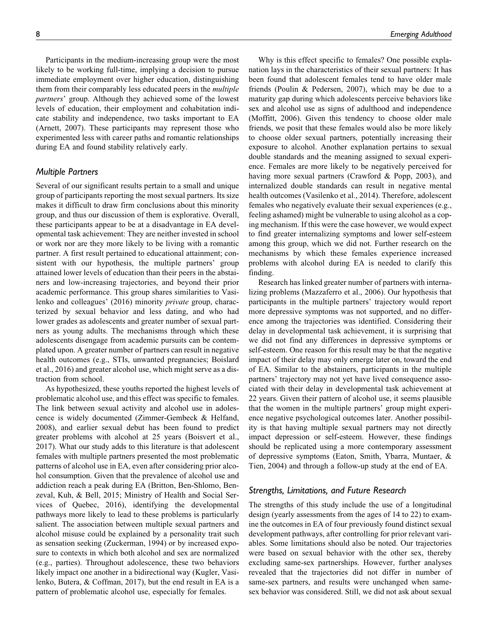Participants in the medium-increasing group were the most likely to be working full-time, implying a decision to pursue immediate employment over higher education, distinguishing them from their comparably less educated peers in the *multiple* partners' group. Although they achieved some of the lowest levels of education, their employment and cohabitation indicate stability and independence, two tasks important to EA (Arnett, 2007). These participants may represent those who experimented less with career paths and romantic relationships during EA and found stability relatively early.

## Multiple Partners

Several of our significant results pertain to a small and unique group of participants reporting the most sexual partners. Its size makes it difficult to draw firm conclusions about this minority group, and thus our discussion of them is explorative. Overall, these participants appear to be at a disadvantage in EA developmental task achievement: They are neither invested in school or work nor are they more likely to be living with a romantic partner. A first result pertained to educational attainment; consistent with our hypothesis, the multiple partners' group attained lower levels of education than their peers in the abstainers and low-increasing trajectories, and beyond their prior academic performance. This group shares similarities to Vasilenko and colleagues' (2016) minority private group, characterized by sexual behavior and less dating, and who had lower grades as adolescents and greater number of sexual partners as young adults. The mechanisms through which these adolescents disengage from academic pursuits can be contemplated upon. A greater number of partners can result in negative health outcomes (e.g., STIs, unwanted pregnancies; Boislard et al., 2016) and greater alcohol use, which might serve as a distraction from school.

As hypothesized, these youths reported the highest levels of problematic alcohol use, and this effect was specific to females. The link between sexual activity and alcohol use in adolescence is widely documented (Zimmer-Gembeck & Helfand, 2008), and earlier sexual debut has been found to predict greater problems with alcohol at 25 years (Boisvert et al., 2017). What our study adds to this literature is that adolescent females with multiple partners presented the most problematic patterns of alcohol use in EA, even after considering prior alcohol consumption. Given that the prevalence of alcohol use and addiction reach a peak during EA (Britton, Ben-Shlomo, Benzeval, Kuh, & Bell, 2015; Ministry of Health and Social Services of Quebec, 2016), identifying the developmental pathways more likely to lead to these problems is particularly salient. The association between multiple sexual partners and alcohol misuse could be explained by a personality trait such as sensation seeking (Zuckerman, 1994) or by increased exposure to contexts in which both alcohol and sex are normalized (e.g., parties). Throughout adolescence, these two behaviors likely impact one another in a bidirectional way (Kugler, Vasilenko, Butera, & Coffman, 2017), but the end result in EA is a pattern of problematic alcohol use, especially for females.

Why is this effect specific to females? One possible explanation lays in the characteristics of their sexual partners: It has been found that adolescent females tend to have older male friends (Poulin & Pedersen, 2007), which may be due to a maturity gap during which adolescents perceive behaviors like sex and alcohol use as signs of adulthood and independence (Moffitt, 2006). Given this tendency to choose older male friends, we posit that these females would also be more likely to choose older sexual partners, potentially increasing their exposure to alcohol. Another explanation pertains to sexual double standards and the meaning assigned to sexual experience. Females are more likely to be negatively perceived for having more sexual partners (Crawford & Popp, 2003), and internalized double standards can result in negative mental health outcomes (Vasilenko et al., 2014). Therefore, adolescent females who negatively evaluate their sexual experiences (e.g., feeling ashamed) might be vulnerable to using alcohol as a coping mechanism. If this were the case however, we would expect to find greater internalizing symptoms and lower self-esteem among this group, which we did not. Further research on the mechanisms by which these females experience increased problems with alcohol during EA is needed to clarify this finding.

Research has linked greater number of partners with internalizing problems (Mazzaferro et al., 2006). Our hypothesis that participants in the multiple partners' trajectory would report more depressive symptoms was not supported, and no difference among the trajectories was identified. Considering their delay in developmental task achievement, it is surprising that we did not find any differences in depressive symptoms or self-esteem. One reason for this result may be that the negative impact of their delay may only emerge later on, toward the end of EA. Similar to the abstainers, participants in the multiple partners' trajectory may not yet have lived consequence associated with their delay in developmental task achievement at 22 years. Given their pattern of alcohol use, it seems plausible that the women in the multiple partners' group might experience negative psychological outcomes later. Another possibility is that having multiple sexual partners may not directly impact depression or self-esteem. However, these findings should be replicated using a more contemporary assessment of depressive symptoms (Eaton, Smith, Ybarra, Muntaer, & Tien, 2004) and through a follow-up study at the end of EA.

## Strengths, Limitations, and Future Research

The strengths of this study include the use of a longitudinal design (yearly assessments from the ages of 14 to 22) to examine the outcomes in EA of four previously found distinct sexual development pathways, after controlling for prior relevant variables. Some limitations should also be noted. Our trajectories were based on sexual behavior with the other sex, thereby excluding same-sex partnerships. However, further analyses revealed that the trajectories did not differ in number of same-sex partners, and results were unchanged when samesex behavior was considered. Still, we did not ask about sexual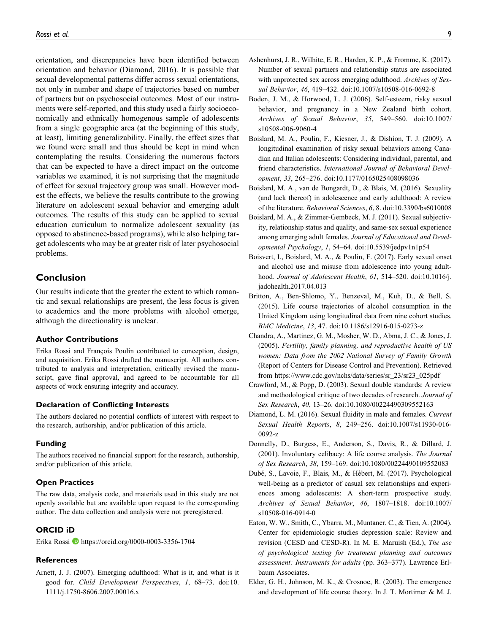orientation, and discrepancies have been identified between orientation and behavior (Diamond, 2016). It is possible that sexual developmental patterns differ across sexual orientations, not only in number and shape of trajectories based on number of partners but on psychosocial outcomes. Most of our instruments were self-reported, and this study used a fairly socioeconomically and ethnically homogenous sample of adolescents from a single geographic area (at the beginning of this study, at least), limiting generalizability. Finally, the effect sizes that we found were small and thus should be kept in mind when contemplating the results. Considering the numerous factors that can be expected to have a direct impact on the outcome variables we examined, it is not surprising that the magnitude of effect for sexual trajectory group was small. However modest the effects, we believe the results contribute to the growing literature on adolescent sexual behavior and emerging adult outcomes. The results of this study can be applied to sexual education curriculum to normalize adolescent sexuality (as opposed to abstinence-based programs), while also helping target adolescents who may be at greater risk of later psychosocial problems.

# Conclusion

Our results indicate that the greater the extent to which romantic and sexual relationships are present, the less focus is given to academics and the more problems with alcohol emerge, although the directionality is unclear.

#### Author Contributions

Erika Rossi and François Poulin contributed to conception, design, and acquisition. Erika Rossi drafted the manuscript. All authors contributed to analysis and interpretation, critically revised the manuscript, gave final approval, and agreed to be accountable for all aspects of work ensuring integrity and accuracy.

## Declaration of Conflicting Interests

The authors declared no potential conflicts of interest with respect to the research, authorship, and/or publication of this article.

#### Funding

The authors received no financial support for the research, authorship, and/or publication of this article.

#### Open Practices

The raw data, analysis code, and materials used in this study are not openly available but are available upon request to the corresponding author. The data collection and analysis were not preregistered.

# ORCID iD

Erika Rossi D <https://orcid.org/0000-0003-3356-1704>

#### **References**

Arnett, J. J. (2007). Emerging adulthood: What is it, and what is it good for. Child Development Perspectives, 1, 68–73. doi:10. 1111/j.1750-8606.2007.00016.x

- Ashenhurst, J. R., Wilhite, E. R., Harden, K. P., & Fromme, K. (2017). Number of sexual partners and relationship status are associated with unprotected sex across emerging adulthood. Archives of Sexual Behavior, 46, 419–432. doi:10.1007/s10508-016-0692-8
- Boden, J. M., & Horwood, L. J. (2006). Self-esteem, risky sexual behavior, and pregnancy in a New Zealand birth cohort. Archives of Sexual Behavior, 35, 549–560. doi:10.1007/ s10508-006-9060-4
- Boislard, M. A., Poulin, F., Kiesner, J., & Dishion, T. J. (2009). A longitudinal examination of risky sexual behaviors among Canadian and Italian adolescents: Considering individual, parental, and friend characteristics. International Journal of Behavioral Development, 33, 265–276. doi:10.1177/0165025408098036
- Boislard, M. A., van de Bongardt, D., & Blais, M. (2016). Sexuality (and lack thereof) in adolescence and early adulthood: A review of the literature. Behavioral Sciences, 6, 8. doi:10.3390/bs6010008
- Boislard, M. A., & Zimmer-Gembeck, M. J. (2011). Sexual subjectivity, relationship status and quality, and same-sex sexual experience among emerging adult females. Journal of Educational and Developmental Psychology, 1, 54–64. doi:10.5539/jedpv1n1p54
- Boisvert, I., Boislard, M. A., & Poulin, F. (2017). Early sexual onset and alcohol use and misuse from adolescence into young adulthood. Journal of Adolescent Health, 61, 514–520. doi:10.1016/j. jadohealth.2017.04.013
- Britton, A., Ben-Shlomo, Y., Benzeval, M., Kuh, D., & Bell, S. (2015). Life course trajectories of alcohol consumption in the United Kingdom using longitudinal data from nine cohort studies. BMC Medicine, 13, 47. doi:10.1186/s12916-015-0273-z
- Chandra, A., Martinez, G. M., Mosher, W. D., Abma, J. C., & Jones, J. (2005). Fertility, family planning, and reproductive health of US women: Data from the 2002 National Survey of Family Growth (Report of Centers for Disease Control and Prevention). Retrieved from [https://www.cdc.gov/nchs/data/series/sr\\_23/sr23\\_025pdf](https://www.cdc.gov/nchs/data/series/sr_23/sr23_025pdf)
- Crawford, M., & Popp, D. (2003). Sexual double standards: A review and methodological critique of two decades of research. Journal of Sex Research, 40, 13–26. doi:10.1080/00224490309552163
- Diamond, L. M. (2016). Sexual fluidity in male and females. Current Sexual Health Reports, 8, 249–256. doi:10.1007/s11930-016- 0092-z
- Donnelly, D., Burgess, E., Anderson, S., Davis, R., & Dillard, J. (2001). Involuntary celibacy: A life course analysis. The Journal of Sex Research, 38, 159–169. doi:10.1080/00224490109552083
- Dubé, S., Lavoie, F., Blais, M., & Hébert, M. (2017). Psychological well-being as a predictor of casual sex relationships and experiences among adolescents: A short-term prospective study. Archives of Sexual Behavior, 46, 1807–1818. doi:10.1007/ s10508-016-0914-0
- Eaton, W. W., Smith, C., Ybarra, M., Muntaner, C., & Tien, A. (2004). Center for epidemiologic studies depression scale: Review and revision (CESD and CESD-R). In M. E. Maruish (Ed.), The use of psychological testing for treatment planning and outcomes assessment: Instruments for adults (pp. 363–377). Lawrence Erlbaum Associates.
- Elder, G. H., Johnson, M. K., & Crosnoe, R. (2003). The emergence and development of life course theory. In J. T. Mortimer & M. J.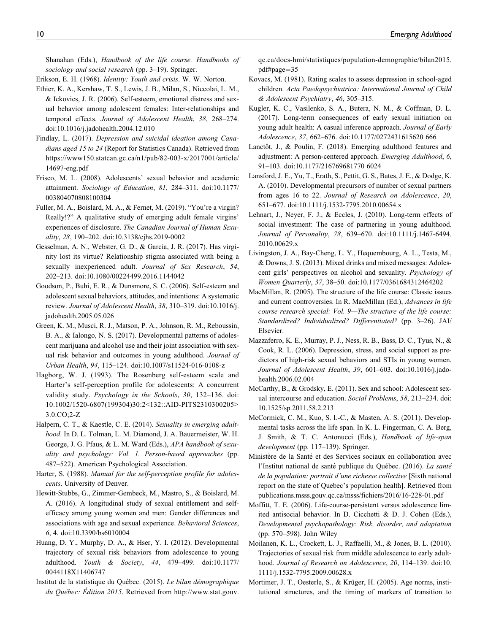Shanahan (Eds.), Handbook of the life course. Handbooks of sociology and social research (pp. 3–19). Springer.

- Erikson, E. H. (1968). Identity: Youth and crisis. W. W. Norton.
- Ethier, K. A., Kershaw, T. S., Lewis, J. B., Milan, S., Niccolai, L. M., & Ickovics, J. R. (2006). Self-esteem, emotional distress and sexual behavior among adolescent females: Inter-relationships and temporal effects. Journal of Adolescent Health, 38, 268–274. doi:10.1016/j.jadohealth.2004.12.010
- Findlay, L. (2017). Depression and suicidal ideation among Canadians aged 15 to 24 (Report for Statistics Canada). Retrieved from [https://www150.statcan.gc.ca/n1/pub/82-003-x/2017001/article/](https://www150.statcan.gc.ca/n1/pub/82-003-x/2017001/article/14697-eng.pdf) [14697-eng.pdf](https://www150.statcan.gc.ca/n1/pub/82-003-x/2017001/article/14697-eng.pdf)
- Frisco, M. L. (2008). Adolescents' sexual behavior and academic attainment. Sociology of Education, 81, 284–311. doi:10.1177/ 003804070808100304
- Fuller, M. A., Boislard, M. A., & Fernet, M. (2019). "You're a virgin? Really!?" A qualitative study of emerging adult female virgins' experiences of disclosure. The Canadian Journal of Human Sexuality, 28, 190–202. doi:10.3138/cjhs.2019-0002
- Gesselman, A. N., Webster, G. D., & Garcia, J. R. (2017). Has virginity lost its virtue? Relationship stigma associated with being a sexually inexperienced adult. Journal of Sex Research, 54, 202–213. doi:10.1080/00224499.2016.1144042
- Goodson, P., Buhi, E. R., & Dunsmore, S. C. (2006). Self-esteem and adolescent sexual behaviors, attitudes, and intentions: A systematic review. Journal of Adolescent Health, 38, 310–319. doi:10.1016/j. jadohealth.2005.05.026
- Green, K. M., Musci, R. J., Matson, P. A., Johnson, R. M., Reboussin, B. A., & Ialongo, N. S. (2017). Developmental patterns of adolescent marijuana and alcohol use and their joint association with sexual risk behavior and outcomes in young adulthood. Journal of Urban Health, 94, 115–124. doi:10.1007/s11524-016-0108-z
- Hagborg, W. J. (1993). The Rosenberg self-esteem scale and Harter's self-perception profile for adolescents: A concurrent validity study. Psychology in the Schools, 30, 132–136. doi: 10.1002/1520-6807(199304)30:2<132::AID-PITS2310300205> 3.0.CO;2-Z
- Halpern, C. T., & Kaestle, C. E. (2014). Sexuality in emerging adulthood. In D. L. Tolman, L. M. Diamond, J. A. Bauermeister, W. H. George, J. G. Pfaus, & L. M. Ward (Eds.), APA handbook of sexuality and psychology: Vol. 1. Person-based approaches (pp. 487–522). American Psychological Association.
- Harter, S. (1988). Manual for the self-perception profile for adolescents. University of Denver.
- Hewitt-Stubbs, G., Zimmer-Gembeck, M., Mastro, S., & Boislard, M. A. (2016). A longitudinal study of sexual entitlement and selfefficacy among young women and men: Gender differences and associations with age and sexual experience. Behavioral Sciences, 6, 4. doi:10.3390/bs6010004
- Huang, D. Y., Murphy, D. A., & Hser, Y. I. (2012). Developmental trajectory of sexual risk behaviors from adolescence to young adulthood. Youth & Society, 44, 479–499. doi:10.1177/ 0044118X11406747
- Institut de la statistique du Québec. (2015). Le bilan démographique du Québec: Édition 2015. Retrieved from [http://www.stat.gouv.](http://www.stat.gouv.qc.ca/docs-hmi/statistiques/population-demographie/bilan2015.pdf#page=35)

[qc.ca/docs-hmi/statistiques/population-demographie/bilan2015.](http://www.stat.gouv.qc.ca/docs-hmi/statistiques/population-demographie/bilan2015.pdf#page=35) [pdf#page](http://www.stat.gouv.qc.ca/docs-hmi/statistiques/population-demographie/bilan2015.pdf#page=35)=[35](http://www.stat.gouv.qc.ca/docs-hmi/statistiques/population-demographie/bilan2015.pdf#page=35)

- Kovacs, M. (1981). Rating scales to assess depression in school-aged children. Acta Paedopsychiatrica: International Journal of Child & Adolescent Psychiatry, 46, 305–315.
- Kugler, K. C., Vasilenko, S. A., Butera, N. M., & Coffman, D. L. (2017). Long-term consequences of early sexual initiation on young adult health: A casual inference approach. Journal of Early Adolescence, 37, 662–676. doi:10.1177/0272431615620 666
- Lanctôt, J., & Poulin, F. (2018). Emerging adulthood features and adjustment: A person-centered approach. Emerging Adulthood, 6, 91–103. doi:10.1177/216769681770 6024
- Lansford, J. E., Yu, T., Erath, S., Pettit, G. S., Bates, J. E., & Dodge, K. A. (2010). Developmental precursors of number of sexual partners from ages 16 to 22. Journal of Research on Adolescence, 20, 651–677. doi:10.1111/j.1532-7795.2010.00654.x
- Lehnart, J., Neyer, F. J., & Eccles, J. (2010). Long-term effects of social investment: The case of partnering in young adulthood. Journal of Personality, 78, 639–670. doi:10.1111/j.1467-6494. 2010.00629.x
- Livingston, J. A., Bay-Cheng, L. Y., Hequembourg, A. L., Testa, M., & Downs, J. S. (2013). Mixed drinks and mixed messages: Adolescent girls' perspectives on alcohol and sexuality. Psychology of Women Quarterly, 37, 38–50. doi:10.1177/0361684312464202
- MacMillan, R. (2005). The structure of the life course: Classic issues and current controversies. In R. MacMillan (Ed.), Advances in life course research special: Vol. 9—The structure of the life course: Standardized? Individualized? Differentiated? (pp. 3–26). JAI/ Elsevier.
- Mazzaferro, K. E., Murray, P. J., Ness, R. B., Bass, D. C., Tyus, N., & Cook, R. L. (2006). Depression, stress, and social support as predictors of high-risk sexual behaviors and STIs in young women. Journal of Adolescent Health, 39, 601–603. doi:10.1016/j.jadohealth.2006.02.004
- McCarthy, B., & Grodsky, E. (2011). Sex and school: Adolescent sexual intercourse and education. Social Problems, 58, 213–234. doi: 10.1525/sp.2011.58.2.213
- McCormick, C. M., Kuo, S. I.-C., & Masten, A. S. (2011). Developmental tasks across the life span. In K. L. Fingerman, C. A. Berg, J. Smith, & T. C. Antonucci (Eds.), Handbook of life-span development (pp. 117–139). Springer.
- Ministère de la Santé et des Services sociaux en collaboration avec l'Institut national de santé publique du Québec. (2016). La santé de la population: portrait d'une richesse collective [Sixth national report on the state of Quebec's population health]. Retrieved from [publications.msss.gouv.qc.ca/msss/fichiers/2016/16-228-01.pdf](http://publications.msss.gouv.qc.ca/msss/fichiers/2016/16-228-01.pdf)
- Moffitt, T. E. (2006). Life-course-persistent versus adolescence limited antisocial behavior. In D. Cicchetti & D. J. Cohen (Eds.), Developmental psychopathology: Risk, disorder, and adaptation (pp. 570–598). John Wiley
- Moilanen, K. L., Crockett, L. J., Raffaelli, M., & Jones, B. L. (2010). Trajectories of sexual risk from middle adolescence to early adulthood. Journal of Research on Adolescence, 20, 114-139. doi:10. 1111/j.1532-7795.2009.00628.x
- Mortimer, J. T., Oesterle, S., & Krüger, H. (2005). Age norms, institutional structures, and the timing of markers of transition to